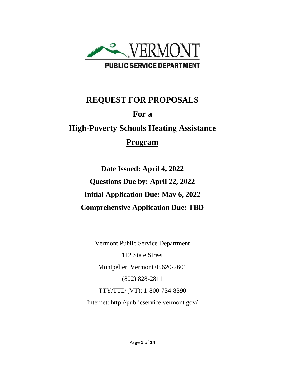

# **REQUEST FOR PROPOSALS For a High-Poverty Schools Heating Assistance Program**

**Date Issued: April 4, 2022 Questions Due by: April 22, 2022 Initial Application Due: May 6, 2022 Comprehensive Application Due: TBD**

Vermont Public Service Department 112 State Street Montpelier, Vermont 05620-2601 (802) 828-2811 TTY/TTD (VT): 1-800-734-8390 Internet:<http://publicservice.vermont.gov/>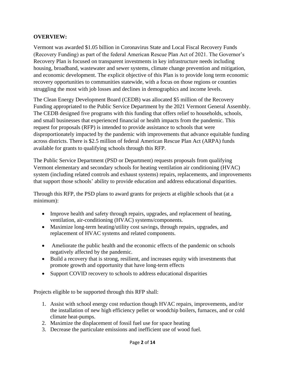#### **OVERVIEW:**

Vermont was awarded \$1.05 billion in Coronavirus State and Local Fiscal Recovery Funds (Recovery Funding) as part of the federal American Rescue Plan Act of 2021. The Governor's Recovery Plan is focused on transparent investments in key infrastructure needs including housing, broadband, wastewater and sewer systems, climate change prevention and mitigation, and economic development. The explicit objective of this Plan is to provide long term economic recovery opportunities to communities statewide, with a focus on those regions or counties struggling the most with job losses and declines in demographics and income levels.

The Clean Energy Development Board (CEDB) was allocated \$5 million of the Recovery Funding appropriated to the Public Service Department by the 2021 Vermont General Assembly. The CEDB designed five programs with this funding that offers relief to households, schools, and small businesses that experienced financial or health impacts from the pandemic. This request for proposals (RFP) is intended to provide assistance to schools that were disproportionately impacted by the pandemic with improvements that advance equitable funding across districts. There is \$2.5 million of federal American Rescue Plan Act (ARPA) funds available for grants to qualifying schools through this RFP.

The Public Service Department (PSD or Department) requests proposals from qualifying Vermont elementary and secondary schools for heating ventilation air conditioning (HVAC) system (including related controls and exhaust systems) repairs, replacements, and improvements that support those schools' ability to provide education and address educational disparities.

Through this RFP, the PSD plans to award grants for projects at eligible schools that (at a minimum):

- Improve health and safety through repairs, upgrades, and replacement of heating, ventilation, air-conditioning (HVAC) systems/components.
- Maximize long-term heating/utility cost savings, through repairs, upgrades, and replacement of HVAC systems and related components.
- Ameliorate the public health and the economic effects of the pandemic on schools negatively affected by the pandemic.
- Build a recovery that is strong, resilient, and increases equity with investments that promote growth and opportunity that have long-term effects
- Support COVID recovery to schools to address educational disparities

Projects eligible to be supported through this RFP shall:

- 1. Assist with school energy cost reduction though HVAC repairs, improvements, and/or the installation of new high efficiency pellet or woodchip boilers, furnaces, and or cold climate heat-pumps.
- 2. Maximize the displacement of fossil fuel use for space heating
- 3. Decrease the particulate emissions and inefficient use of wood fuel.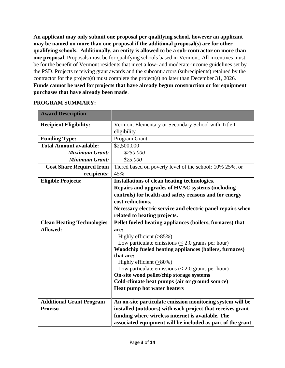**An applicant may only submit one proposal per qualifying school, however an applicant may be named on more than one proposal if the additional proposal(s) are for other qualifying schools. Additionally, an entity is allowed to be a sub-contractor on more than one proposal**. Proposals must be for qualifying schools based in Vermont. All incentives must be for the benefit of Vermont residents that meet a low- and moderate-income guidelines set by the PSD. Projects receiving grant awards and the subcontractors (subrecipients) retained by the contractor for the project(s) must complete the project(s) no later than December 31, 2026. **Funds cannot be used for projects that have already begun construction or for equipment purchases that have already been made**.

#### **PROGRAM SUMMARY:**

| <b>Award Description</b>          |                                                                                                   |  |  |  |
|-----------------------------------|---------------------------------------------------------------------------------------------------|--|--|--|
| <b>Recipient Eligibility:</b>     | Vermont Elementary or Secondary School with Title I                                               |  |  |  |
|                                   | eligibility                                                                                       |  |  |  |
| <b>Funding Type:</b>              | Program Grant                                                                                     |  |  |  |
| <b>Total Amount available:</b>    | \$2,500,000                                                                                       |  |  |  |
| <b>Maximum Grant:</b>             | \$250,000                                                                                         |  |  |  |
| <b>Minimum Grant:</b>             | \$25,000                                                                                          |  |  |  |
| <b>Cost Share Required from</b>   | Tiered based on poverty level of the school: 10% 25%, or                                          |  |  |  |
| recipients:                       | 45%                                                                                               |  |  |  |
| <b>Eligible Projects:</b>         | Installations of clean heating technologies.                                                      |  |  |  |
|                                   | Repairs and upgrades of HVAC systems (including                                                   |  |  |  |
|                                   | controls) for health and safety reasons and for energy                                            |  |  |  |
|                                   | cost reductions.                                                                                  |  |  |  |
|                                   | Necessary electric service and electric panel repairs when                                        |  |  |  |
|                                   | related to heating projects.                                                                      |  |  |  |
| <b>Clean Heating Technologies</b> | Pellet fueled heating appliances (boilers, furnaces) that                                         |  |  |  |
| <b>Allowed:</b>                   | are:                                                                                              |  |  |  |
|                                   | Highly efficient $(≥85%)$                                                                         |  |  |  |
|                                   | Low particulate emissions $\ll$ 2.0 grams per hour)                                               |  |  |  |
|                                   | Woodchip fueled heating appliances (boilers, furnaces)                                            |  |  |  |
|                                   | that are:                                                                                         |  |  |  |
|                                   | Highly efficient $(≥80%)$                                                                         |  |  |  |
|                                   | Low particulate emissions $(\leq 2.0$ grams per hour)<br>On-site wood pellet/chip storage systems |  |  |  |
|                                   | Cold-climate heat pumps (air or ground source)                                                    |  |  |  |
|                                   | Heat pump hot water heaters                                                                       |  |  |  |
|                                   |                                                                                                   |  |  |  |
| <b>Additional Grant Program</b>   | An on-site particulate emission monitoring system will be                                         |  |  |  |
| <b>Proviso</b>                    | installed (outdoors) with each project that receives grant                                        |  |  |  |
|                                   | funding where wireless internet is available. The                                                 |  |  |  |
|                                   | associated equipment will be included as part of the grant                                        |  |  |  |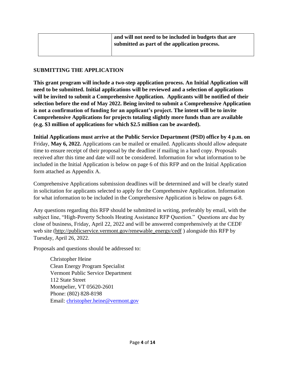|  | and will not need to be included in budgets that are<br>submitted as part of the application process. |
|--|-------------------------------------------------------------------------------------------------------|
|  |                                                                                                       |

#### **SUBMITTING THE APPLICATION**

**This grant program will include a two-step application process. An Initial Application will need to be submitted. Initial applications will be reviewed and a selection of applications will be invited to submit a Comprehensive Application. Applicants will be notified of their selection before the end of May 2022. Being invited to submit a Comprehensive Application is not a confirmation of funding for an applicant's project. The intent will be to invite Comprehensive Applications for projects totaling slightly more funds than are available (e.g. \$3 million of applications for which \$2.5 million can be awarded).**

**Initial Applications must arrive at the Public Service Department (PSD) office by 4 p.m. on**  Friday, **May 6, 2022.** Applications can be mailed or emailed. Applicants should allow adequate time to ensure receipt of their proposal by the deadline if mailing in a hard copy. Proposals received after this time and date will not be considered. Information for what information to be included in the Initial Application is below on page 6 of this RFP and on the Initial Application form attached as Appendix A.

Comprehensive Applications submission deadlines will be determined and will be clearly stated in solicitation for applicants selected to apply for the Comprehensive Application. Information for what information to be included in the Comprehensive Application is below on pages 6-8.

Any questions regarding this RFP should be submitted in writing, preferably by email, with the subject line, "High-Poverty Schools Heating Assistance RFP Question." Questions are due by close of business, Friday, April 22, 2022 and will be answered comprehensively at [the](http://publicservice.vermont.gov/announcements/rfps) CEDF web site [\(http://publicservice.vermont.gov/renewable\\_energy/cedf](http://publicservice.vermont.gov/renewable_energy/cedf) ) alongside this RFP by Tuesday, April 26, 2022.

Proposals and questions should be addressed to:

Christopher Heine Clean Energy Program Specialist Vermont Public Service Department 112 State Street Montpelier, VT 05620-2601 Phone: (802) 828-8198 Email: [christopher.heine@vermont.gov](mailto:christopher.heine@vermont.gov)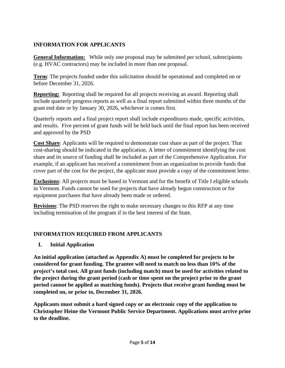# **INFORMATION FOR APPLICANTS**

**General Information:** While only one proposal may be submitted per school, subrecipients (e.g. HVAC contractors) may be included in more than one proposal.

**Term**: The projects funded under this solicitation should be operational and completed on or before December 31, 2026.

**Reporting:** Reporting shall be required for all projects receiving an award. Reporting shall include quarterly progress reports as well as a final report submitted within three months of the grant end date or by January 30, 2026, whichever is comes first.

Quarterly reports and a final project report shall include expenditures made, specific activities, and results. Five percent of grant funds will be held back until the final report has been received and approved by the PSD

**Cost Share**: Applicants will be required to demonstrate cost share as part of the project. That cost-sharing should be indicated in the application. A letter of commitment identifying the cost share and its source of funding shall be included as part of the Comprehensive Application. For example, if an applicant has received a commitment from an organization to provide funds that cover part of the cost for the project, the applicant must provide a copy of the commitment letter.

**Exclusions**: All projects must be based in Vermont and for the benefit of Title I eligible schools in Vermont. Funds cannot be used for projects that have already begun construction or for equipment purchases that have already been made or ordered.

**Revisions**: The PSD reserves the right to make necessary changes to this RFP at any time including termination of the program if in the best interest of the State.

# **INFORMATION REQUIRED FROM APPLICANTS**

#### **I. Initial Application**

**An initial application (attached as Appendix A) must be completed for projects to be considered for grant funding. The grantee will need to match no less than 10% of the project's total cost. All grant funds (including match) must be used for activities related to the project during the grant period (cash or time spent on the project prior to the grant period cannot be applied as matching funds). Projects that receive grant funding must be completed on, or prior to, December 31, 2026.**

**Applicants must submit a hard signed copy or an electronic copy of the application to Christopher Heine the Vermont Public Service Department. Applications must arrive prior to the deadline.**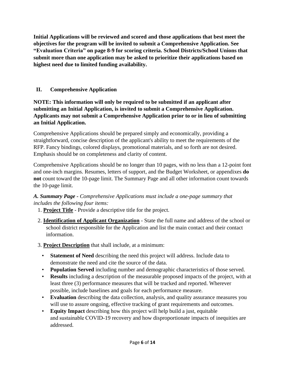**Initial Applications will be reviewed and scored and those applications that best meet the objectives for the program will be invited to submit a Comprehensive Application. See "Evaluation Criteria" on page 8-9 for scoring criteria. School Districts/School Unions that submit more than one application may be asked to prioritize their applications based on highest need due to limited funding availability.** 

# **II. Comprehensive Application**

**NOTE: This information will only be required to be submitted if an applicant after submitting an Initial Application, is invited to submit a Comprehensive Application. Applicants may not submit a Comprehensive Application prior to or in lieu of submitting an Initial Application.**

Comprehensive Applications should be prepared simply and economically, providing a straightforward, concise description of the applicant's ability to meet the requirements of the RFP. Fancy bindings, colored displays, promotional materials, and so forth are not desired. Emphasis should be on completeness and clarity of content.

Comprehensive Applications should be no longer than 10 pages, with no less than a 12-point font and one-inch margins. Resumes, letters of support, and the Budget Worksheet, or appendixes **do not** count toward the 10-page limit. The Summary Page and all other information count towards the 10-page limit.

#### *A. Summary Page - Comprehensive Applications must include a one-page summary that includes the following four items:*

- 1. **Project Title** Provide a descriptive title for the project.
- 2. **Identification of Applicant Organization** State the full name and address of the school or school district responsible for the Application and list the main contact and their contact information.
- 3. **Project Description** that shall include, at a minimum:
	- **Statement of Need** describing the need this project will address. Include data to demonstrate the need and cite the source of the data.
	- **Population Served** including number and demographic characteristics of those served.
	- **Results** including a description of the measurable proposed impacts of the project, with at least three (3) performance measures that will be tracked and reported. Wherever possible, include baselines and goals for each performance measure.
	- **Evaluation** describing the data collection, analysis, and quality assurance measures you will use to assure ongoing, effective tracking of grant requirements and outcomes.
	- **Equity Impact** describing how this project will help build a just, equitable and sustainable COVID-19 recovery and how disproportionate impacts of inequities are addressed.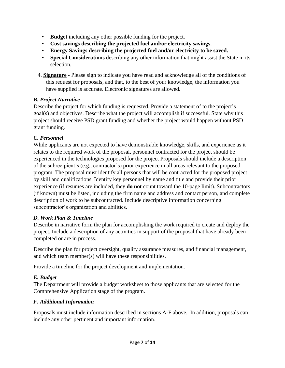- **Budget** including any other possible funding for the project.
- **Cost savings describing the projected fuel and/or electricity savings.**
- **Energy Savings describing the projected fuel and/or electricity to be saved.**
- **Special Considerations** describing any other information that might assist the State in its selection.
- 4. **Signature** Please sign to indicate you have read and acknowledge all of the conditions of this request for proposals, and that, to the best of your knowledge, the information you have supplied is accurate. Electronic signatures are allowed.

#### *B. Project Narrative*

Describe the project for which funding is requested. Provide a statement of to the project's goal(s) and objectives. Describe what the project will accomplish if successful. State why this project should receive PSD grant funding and whether the project would happen without PSD grant funding.

# *C. Personnel*

While applicants are not expected to have demonstrable knowledge, skills, and experience as it relates to the required work of the proposal, personnel contracted for the project should be experienced in the technologies proposed for the project Proposals should include a description of the subrecipient's (e.g., contractor's) prior experience in all areas relevant to the proposed program. The proposal must identify all persons that will be contracted for the proposed project by skill and qualifications. Identify key personnel by name and title and provide their prior experience (if resumes are included, they **do not** count toward the 10-page limit). Subcontractors (if known) must be listed, including the firm name and address and contact person, and complete description of work to be subcontracted. Include descriptive information concerning subcontractor's organization and abilities.

# *D. Work Plan & Timeline*

Describe in narrative form the plan for accomplishing the work required to create and deploy the project. Include a description of any activities in support of the proposal that have already been completed or are in process.

Describe the plan for project oversight, quality assurance measures, and financial management, and which team member(s) will have these responsibilities.

Provide a timeline for the project development and implementation.

# *E. Budget*

The Department will provide a budget worksheet to those applicants that are selected for the Comprehensive Application stage of the program.

# *F. Additional Information*

Proposals must include information described in sections A-F above. In addition, proposals can include any other pertinent and important information.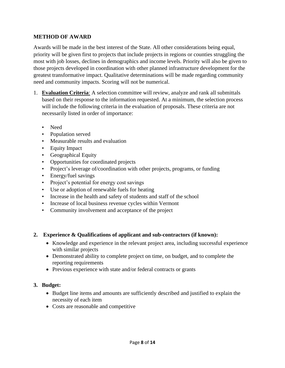#### **METHOD OF AWARD**

Awards will be made in the best interest of the State. All other considerations being equal, priority will be given first to projects that include projects in regions or counties struggling the most with job losses, declines in demographics and income levels. Priority will also be given to those projects developed in coordination with other planned infrastructure development for the greatest transformative impact. Qualitative determinations will be made regarding community need and community impacts. Scoring will not be numerical.

- 1. **Evaluation Criteria**: A selection committee will review, analyze and rank all submittals based on their response to the information requested. At a minimum, the selection process will include the following criteria in the evaluation of proposals. These criteria are not necessarily listed in order of importance:
	- Need
	- Population served
	- Measurable results and evaluation
	- Equity Impact
	- Geographical Equity
	- Opportunities for coordinated projects
	- Project's leverage of/coordination with other projects, programs, or funding
	- Energy/fuel savings
	- Project's potential for energy cost savings
	- Use or adoption of renewable fuels for heating
	- Increase in the health and safety of students and staff of the school
	- Increase of local business revenue cycles within Vermont
	- Community involvement and acceptance of the project

#### **2. Experience & Qualifications of applicant and sub-contractors (if known):**

- Knowledge and experience in the relevant project area, including successful experience with similar projects
- Demonstrated ability to complete project on time, on budget, and to complete the reporting requirements
- Previous experience with state and/or federal contracts or grants

#### **3. Budget:**

- Budget line items and amounts are sufficiently described and justified to explain the necessity of each item
- Costs are reasonable and competitive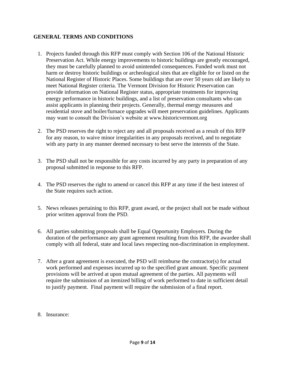#### **GENERAL TERMS AND CONDITIONS**

- 1. Projects funded through this RFP must comply with Section 106 of the National Historic Preservation Act. While energy improvements to historic buildings are greatly encouraged, they must be carefully planned to avoid unintended consequences. Funded work must not harm or destroy historic buildings or archeological sites that are eligible for or listed on the National Register of Historic Places. Some buildings that are over 50 years old are likely to meet National Register criteria. The Vermont Division for Historic Preservation can provide information on National Register status, appropriate treatments for improving energy performance in historic buildings, and a list of preservation consultants who can assist applicants in planning their projects. Generally, thermal energy measures and residential stove and boiler/furnace upgrades will meet preservation guidelines. Applicants may want to consult the Division's website at [www.historicvermont.org](http://www.historicvermont.org/)
- 2. The PSD reserves the right to reject any and all proposals received as a result of this RFP for any reason, to waive minor irregularities in any proposals received, and to negotiate with any party in any manner deemed necessary to best serve the interests of the State.
- 3. The PSD shall not be responsible for any costs incurred by any party in preparation of any proposal submitted in response to this RFP.
- 4. The PSD reserves the right to amend or cancel this RFP at any time if the best interest of the State requires such action.
- 5. News releases pertaining to this RFP, grant award, or the project shall not be made without prior written approval from the PSD.
- 6. All parties submitting proposals shall be Equal Opportunity Employers. During the duration of the performance any grant agreement resulting from this RFP, the awardee shall comply with all federal, state and local laws respecting non-discrimination in employment.
- 7. After a grant agreement is executed, the PSD will reimburse the contractor(s) for actual work performed and expenses incurred up to the specified grant amount. Specific payment provisions will be arrived at upon mutual agreement of the parties. All payments will require the submission of an itemized billing of work performed to date in sufficient detail to justify payment. Final payment will require the submission of a final report.
- 8. Insurance: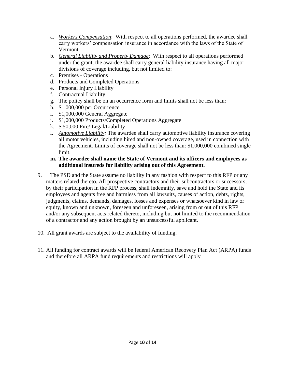- a. *Workers Compensation*: With respect to all operations performed, the awardee shall carry workers' compensation insurance in accordance with the laws of the State of Vermont.
- b. *General Liability and Property Damage*: With respect to all operations performed under the grant, the awardee shall carry general liability insurance having all major divisions of coverage including, but not limited to:
- c. Premises Operations
- d. Products and Completed Operations
- e. Personal Injury Liability
- f. Contractual Liability
- g. The policy shall be on an occurrence form and limits shall not be less than:
- h. \$1,000,000 per Occurrence
- i. \$1,000,000 General Aggregate
- j. \$1,000,000 Products/Completed Operations Aggregate
- k. \$ 50,000 Fire/ Legal/Liability
- l. *Automotive Liability:* The awardee shall carry automotive liability insurance covering all motor vehicles, including hired and non-owned coverage, used in connection with the Agreement. Limits of coverage shall not be less than: \$1,000,000 combined single limit.

#### **m. The awardee shall name the State of Vermont and its officers and employees as additional insureds for liability arising out of this Agreement.**

- 9. The PSD and the State assume no liability in any fashion with respect to this RFP or any matters related thereto. All prospective contractors and their subcontractors or successors, by their participation in the RFP process, shall indemnify, save and hold the State and its employees and agents free and harmless from all lawsuits, causes of action, debts, rights, judgments, claims, demands, damages, losses and expenses or whatsoever kind in law or equity, known and unknown, foreseen and unforeseen, arising from or out of this RFP and/or any subsequent acts related thereto, including but not limited to the recommendation of a contractor and any action brought by an unsuccessful applicant.
- 10. All grant awards are subject to the availability of funding.
- 11. All funding for contract awards will be federal American Recovery Plan Act (ARPA) funds and therefore all ARPA fund requirements and restrictions will apply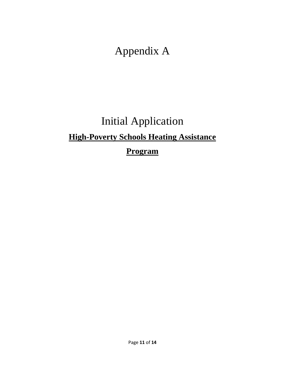Appendix A

# Initial Application **High-Poverty Schools Heating Assistance Program**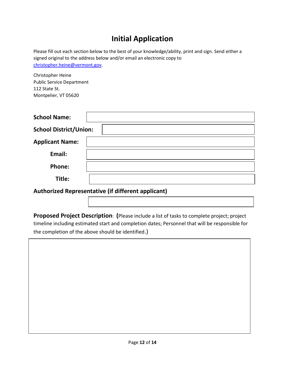# **Initial Application**

Please fill out each section below to the best of your knowledge/ability, print and sign. Send either a signed original to the address below and/or email an electronic copy to [christopher.heine@vermont.gov.](mailto:christopher.heine@vermont.gov)

Christopher Heine Public Service Department 112 State St. Montpelier, VT 05620

| <b>School Name:</b>           |  |
|-------------------------------|--|
| <b>School District/Union:</b> |  |
| <b>Applicant Name:</b>        |  |
| Email:                        |  |
| Phone:                        |  |
| Title:                        |  |

**Authorized Representative (if different applicant)**

**Proposed Project Description**: **(**Please include a list of tasks to complete project; project timeline including estimated start and completion dates; Personnel that will be responsible for the completion of the above should be identified.)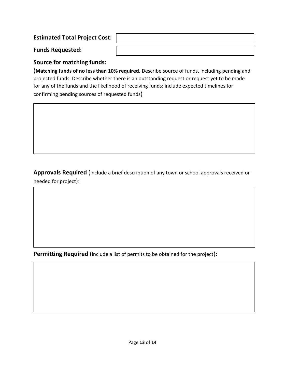# **Estimated Total Project Cost:**

**Funds Requested:**

# **Source for matching funds:**

(**Matching funds of no less than 10% required.** Describe source of funds, including pending and projected funds. Describe whether there is an outstanding request or request yet to be made for any of the funds and the likelihood of receiving funds; include expected timelines for confirming pending sources of requested funds)

**Approvals Required** (include a brief description of any town or school approvals received or needed for project):

**Permitting Required** (include a list of permits to be obtained for the project)**:**